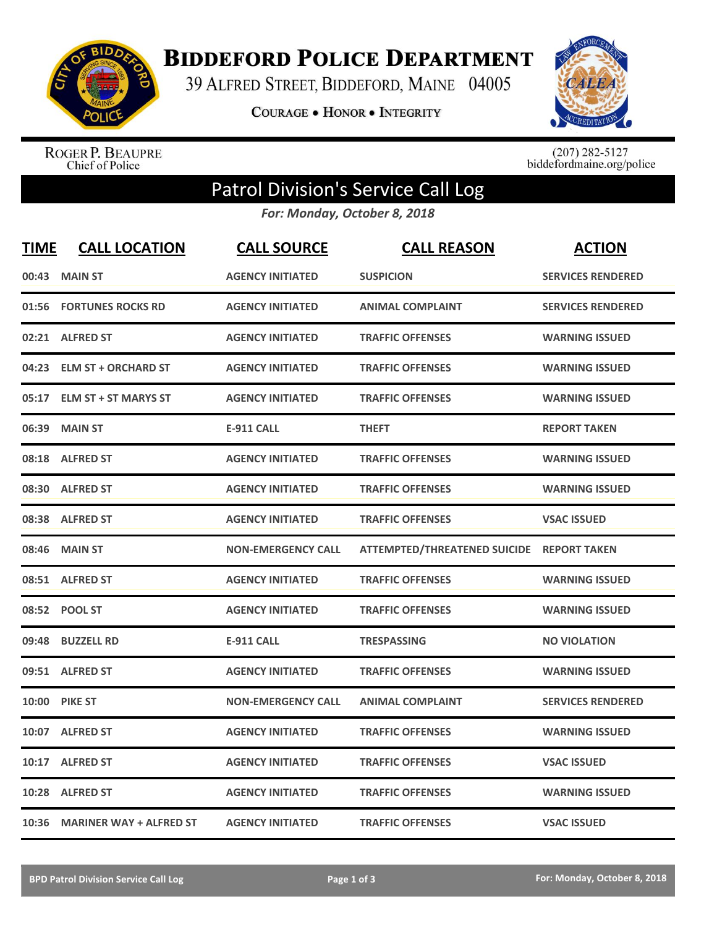

**BIDDEFORD POLICE DEPARTMENT** 

39 ALFRED STREET, BIDDEFORD, MAINE 04005

COURAGE . HONOR . INTEGRITY



ROGER P. BEAUPRE<br>Chief of Police

 $(207)$  282-5127<br>biddefordmaine.org/police

## Patrol Division's Service Call Log

*For: Monday, October 8, 2018*

| <b>TIME</b> | <b>CALL LOCATION</b>          | <b>CALL SOURCE</b>        | <b>CALL REASON</b>                        | <b>ACTION</b>            |
|-------------|-------------------------------|---------------------------|-------------------------------------------|--------------------------|
| 00:43       | <b>MAIN ST</b>                | <b>AGENCY INITIATED</b>   | <b>SUSPICION</b>                          | <b>SERVICES RENDERED</b> |
|             | 01:56 FORTUNES ROCKS RD       | <b>AGENCY INITIATED</b>   | <b>ANIMAL COMPLAINT</b>                   | <b>SERVICES RENDERED</b> |
|             | 02:21 ALFRED ST               | <b>AGENCY INITIATED</b>   | <b>TRAFFIC OFFENSES</b>                   | <b>WARNING ISSUED</b>    |
| 04:23       | <b>ELM ST + ORCHARD ST</b>    | <b>AGENCY INITIATED</b>   | <b>TRAFFIC OFFENSES</b>                   | <b>WARNING ISSUED</b>    |
| 05:17       | <b>ELM ST + ST MARYS ST</b>   | <b>AGENCY INITIATED</b>   | <b>TRAFFIC OFFENSES</b>                   | <b>WARNING ISSUED</b>    |
| 06:39       | <b>MAIN ST</b>                | <b>E-911 CALL</b>         | <b>THEFT</b>                              | <b>REPORT TAKEN</b>      |
|             | 08:18 ALFRED ST               | <b>AGENCY INITIATED</b>   | <b>TRAFFIC OFFENSES</b>                   | <b>WARNING ISSUED</b>    |
| 08:30       | <b>ALFRED ST</b>              | <b>AGENCY INITIATED</b>   | <b>TRAFFIC OFFENSES</b>                   | <b>WARNING ISSUED</b>    |
|             | 08:38 ALFRED ST               | <b>AGENCY INITIATED</b>   | <b>TRAFFIC OFFENSES</b>                   | <b>VSAC ISSUED</b>       |
| 08:46       | <b>MAIN ST</b>                | <b>NON-EMERGENCY CALL</b> | ATTEMPTED/THREATENED SUICIDE REPORT TAKEN |                          |
|             | 08:51 ALFRED ST               | <b>AGENCY INITIATED</b>   | <b>TRAFFIC OFFENSES</b>                   | <b>WARNING ISSUED</b>    |
|             | 08:52 POOL ST                 | <b>AGENCY INITIATED</b>   | <b>TRAFFIC OFFENSES</b>                   | <b>WARNING ISSUED</b>    |
| 09:48       | <b>BUZZELL RD</b>             | <b>E-911 CALL</b>         | <b>TRESPASSING</b>                        | <b>NO VIOLATION</b>      |
|             | 09:51 ALFRED ST               | <b>AGENCY INITIATED</b>   | <b>TRAFFIC OFFENSES</b>                   | <b>WARNING ISSUED</b>    |
| 10:00       | <b>PIKE ST</b>                | <b>NON-EMERGENCY CALL</b> | <b>ANIMAL COMPLAINT</b>                   | <b>SERVICES RENDERED</b> |
|             | 10:07 ALFRED ST               | <b>AGENCY INITIATED</b>   | <b>TRAFFIC OFFENSES</b>                   | <b>WARNING ISSUED</b>    |
| 10:17       | <b>ALFRED ST</b>              | <b>AGENCY INITIATED</b>   | <b>TRAFFIC OFFENSES</b>                   | <b>VSAC ISSUED</b>       |
| 10:28       | <b>ALFRED ST</b>              | <b>AGENCY INITIATED</b>   | <b>TRAFFIC OFFENSES</b>                   | <b>WARNING ISSUED</b>    |
|             | 10:36 MARINER WAY + ALFRED ST | <b>AGENCY INITIATED</b>   | <b>TRAFFIC OFFENSES</b>                   | <b>VSAC ISSUED</b>       |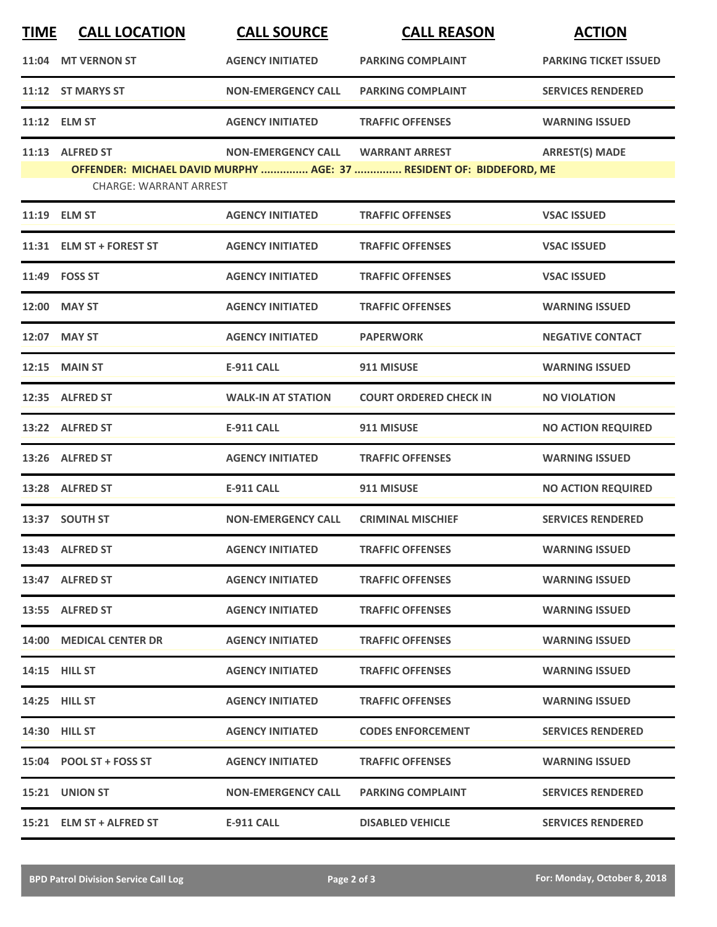| <b>TIME</b> | <b>CALL LOCATION</b>          | <b>CALL SOURCE</b>        | <b>CALL REASON</b>                                                  | <b>ACTION</b>                |
|-------------|-------------------------------|---------------------------|---------------------------------------------------------------------|------------------------------|
|             | 11:04 MT VERNON ST            | <b>AGENCY INITIATED</b>   | <b>PARKING COMPLAINT</b>                                            | <b>PARKING TICKET ISSUED</b> |
|             | 11:12 ST MARYS ST             | <b>NON-EMERGENCY CALL</b> | <b>PARKING COMPLAINT</b>                                            | <b>SERVICES RENDERED</b>     |
|             | 11:12 ELM ST                  | <b>AGENCY INITIATED</b>   | <b>TRAFFIC OFFENSES</b>                                             | <b>WARNING ISSUED</b>        |
|             | 11:13 ALFRED ST               | <b>NON-EMERGENCY CALL</b> | <b>WARRANT ARREST</b>                                               | <b>ARREST(S) MADE</b>        |
|             | <b>CHARGE: WARRANT ARREST</b> |                           | OFFENDER: MICHAEL DAVID MURPHY  AGE: 37  RESIDENT OF: BIDDEFORD, ME |                              |
|             | 11:19 ELM ST                  | <b>AGENCY INITIATED</b>   | <b>TRAFFIC OFFENSES</b>                                             | <b>VSAC ISSUED</b>           |
|             | 11:31 ELM ST + FOREST ST      | <b>AGENCY INITIATED</b>   | <b>TRAFFIC OFFENSES</b>                                             | <b>VSAC ISSUED</b>           |
|             | 11:49 FOSS ST                 | <b>AGENCY INITIATED</b>   | <b>TRAFFIC OFFENSES</b>                                             | <b>VSAC ISSUED</b>           |
|             | 12:00 MAY ST                  | <b>AGENCY INITIATED</b>   | <b>TRAFFIC OFFENSES</b>                                             | <b>WARNING ISSUED</b>        |
|             | 12:07 MAY ST                  | <b>AGENCY INITIATED</b>   | <b>PAPERWORK</b>                                                    | <b>NEGATIVE CONTACT</b>      |
|             | 12:15 MAIN ST                 | <b>E-911 CALL</b>         | 911 MISUSE                                                          | <b>WARNING ISSUED</b>        |
|             | 12:35 ALFRED ST               | <b>WALK-IN AT STATION</b> | <b>COURT ORDERED CHECK IN</b>                                       | <b>NO VIOLATION</b>          |
|             | 13:22 ALFRED ST               | <b>E-911 CALL</b>         | 911 MISUSE                                                          | <b>NO ACTION REQUIRED</b>    |
|             | 13:26 ALFRED ST               | <b>AGENCY INITIATED</b>   | <b>TRAFFIC OFFENSES</b>                                             | <b>WARNING ISSUED</b>        |
|             | 13:28 ALFRED ST               | <b>E-911 CALL</b>         | 911 MISUSE                                                          | <b>NO ACTION REQUIRED</b>    |
|             | 13:37 SOUTH ST                | <b>NON-EMERGENCY CALL</b> | <b>CRIMINAL MISCHIEF</b>                                            | <b>SERVICES RENDERED</b>     |
|             | 13:43 ALFRED ST               | <b>AGENCY INITIATED</b>   | <b>TRAFFIC OFFENSES</b>                                             | <b>WARNING ISSUED</b>        |
|             | 13:47 ALFRED ST               | <b>AGENCY INITIATED</b>   | <b>TRAFFIC OFFENSES</b>                                             | <b>WARNING ISSUED</b>        |
|             | 13:55 ALFRED ST               | <b>AGENCY INITIATED</b>   | <b>TRAFFIC OFFENSES</b>                                             | <b>WARNING ISSUED</b>        |
|             | 14:00 MEDICAL CENTER DR       | <b>AGENCY INITIATED</b>   | <b>TRAFFIC OFFENSES</b>                                             | <b>WARNING ISSUED</b>        |
|             | 14:15 HILL ST                 | <b>AGENCY INITIATED</b>   | <b>TRAFFIC OFFENSES</b>                                             | <b>WARNING ISSUED</b>        |
|             | <b>14:25 HILL ST</b>          | <b>AGENCY INITIATED</b>   | <b>TRAFFIC OFFENSES</b>                                             | <b>WARNING ISSUED</b>        |
|             | <b>14:30 HILL ST</b>          | <b>AGENCY INITIATED</b>   | <b>CODES ENFORCEMENT</b>                                            | <b>SERVICES RENDERED</b>     |
|             | 15:04 POOL ST + FOSS ST       | <b>AGENCY INITIATED</b>   | <b>TRAFFIC OFFENSES</b>                                             | <b>WARNING ISSUED</b>        |
|             | 15:21 UNION ST                | <b>NON-EMERGENCY CALL</b> | <b>PARKING COMPLAINT</b>                                            | <b>SERVICES RENDERED</b>     |
|             | 15:21 ELM ST + ALFRED ST      | E-911 CALL                | <b>DISABLED VEHICLE</b>                                             | <b>SERVICES RENDERED</b>     |